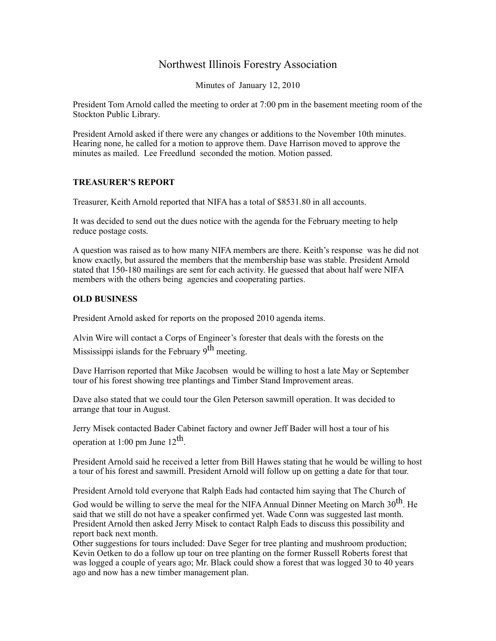## Northwest Illinois Forestry Association

Minutes of January 12, 2010

President Tom Arnold called the meeting to order at 7:00 pm in the basement meeting room of the Stockton Public Library.

President Arnold asked if there were any changes or additions to the November 10th minutes. Hearing none, he called for a motion to approve them. Dave Harrison moved to approve the minutes as mailed. Lee Freedlund seconded the motion. Motion passed.

## **TREASURER'S REPORT**

Treasurer, Keith Arnold reported that NIFA has a total of \$8531.80 in all accounts.

It was decided to send out the dues notice with the agenda for the February meeting to help reduce postage costs.

A question was raised as to how many NIFA members are there. Keith's response was he did not know exactly, but assured the members that the membership base was stable. President Arnold stated that 150-180 mailings are sent for each activity. He guessed that about half were NIFA members with the others being agencies and cooperating parties.

## **OLD BUSINESS**

President Arnold asked for reports on the proposed 2010 agenda items.

Alvin Wire will contact a Corps of Engineer's forester that deals with the forests on the Mississippi islands for the February  $9<sup>th</sup>$  meeting.

Dave Harrison reported that Mike Jacobsen would be willing to host a late May or September tour of his forest showing tree plantings and Timber Stand Improvement areas.

Dave also stated that we could tour the Glen Peterson sawmill operation. It was decided to arrange that tour in August.

Jerry Misek contacted Bader Cabinet factory and owner Jeff Bader will host a tour of his operation at 1:00 pm June  $12^{th}$ .

President Arnold said he received a letter from Bill Hawes stating that he would be willing to host a tour of his forest and sawmill. President Arnold will follow up on getting a date for that tour.

President Arnold told everyone that Ralph Eads had contacted him saying that The Church of

God would be willing to serve the meal for the NIFA Annual Dinner Meeting on March  $30<sup>th</sup>$ . He said that we still do not have a speaker confirmed yet. Wade Conn was suggested last month. President Arnold then asked Jerry Misek to contact Ralph Eads to discuss this possibility and report back next month.

Other suggestions for tours included: Dave Seger for tree planting and mushroom production; Kevin Oetken to do a follow up tour on tree planting on the former Russell Roberts forest that was logged a couple of years ago; Mr. Black could show a forest that was logged 30 to 40 years ago and now has a new timber management plan.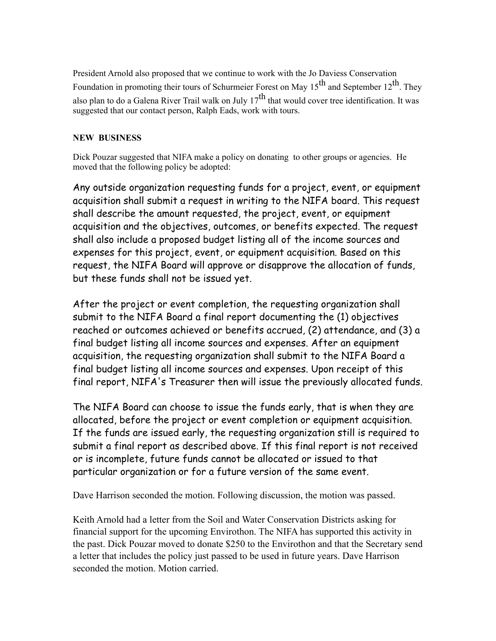President Arnold also proposed that we continue to work with the Jo Daviess Conservation Foundation in promoting their tours of Schurmeier Forest on May  $15<sup>th</sup>$  and September  $12<sup>th</sup>$ . They also plan to do a Galena River Trail walk on July  $17^{th}$  that would cover tree identification. It was suggested that our contact person, Ralph Eads, work with tours.

## **NEW BUSINESS**

Dick Pouzar suggested that NIFA make a policy on donating to other groups or agencies. He moved that the following policy be adopted:

Any outside organization requesting funds for a project, event, or equipment acquisition shall submit a request in writing to the NIFA board. This request shall describe the amount requested, the project, event, or equipment acquisition and the objectives, outcomes, or benefits expected. The request shall also include a proposed budget listing all of the income sources and expenses for this project, event, or equipment acquisition. Based on this request, the NIFA Board will approve or disapprove the allocation of funds, but these funds shall not be issued yet.

After the project or event completion, the requesting organization shall submit to the NIFA Board a final report documenting the (1) objectives reached or outcomes achieved or benefits accrued, (2) attendance, and (3) a final budget listing all income sources and expenses. After an equipment acquisition, the requesting organization shall submit to the NIFA Board a final budget listing all income sources and expenses. Upon receipt of this final report, NIFA's Treasurer then will issue the previously allocated funds.

The NIFA Board can choose to issue the funds early, that is when they are allocated, before the project or event completion or equipment acquisition. If the funds are issued early, the requesting organization still is required to submit a final report as described above. If this final report is not received or is incomplete, future funds cannot be allocated or issued to that particular organization or for a future version of the same event.

Dave Harrison seconded the motion. Following discussion, the motion was passed.

Keith Arnold had a letter from the Soil and Water Conservation Districts asking for financial support for the upcoming Envirothon. The NIFA has supported this activity in the past. Dick Pouzar moved to donate \$250 to the Envirothon and that the Secretary send a letter that includes the policy just passed to be used in future years. Dave Harrison seconded the motion. Motion carried.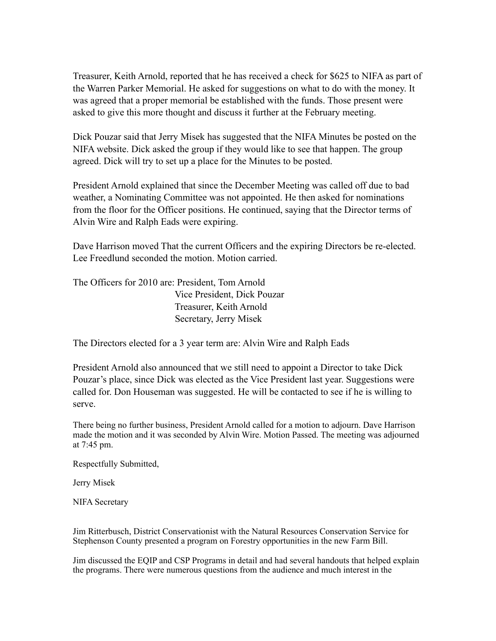Treasurer, Keith Arnold, reported that he has received a check for \$625 to NIFA as part of the Warren Parker Memorial. He asked for suggestions on what to do with the money. It was agreed that a proper memorial be established with the funds. Those present were asked to give this more thought and discuss it further at the February meeting.

Dick Pouzar said that Jerry Misek has suggested that the NIFA Minutes be posted on the NIFA website. Dick asked the group if they would like to see that happen. The group agreed. Dick will try to set up a place for the Minutes to be posted.

President Arnold explained that since the December Meeting was called off due to bad weather, a Nominating Committee was not appointed. He then asked for nominations from the floor for the Officer positions. He continued, saying that the Director terms of Alvin Wire and Ralph Eads were expiring.

Dave Harrison moved That the current Officers and the expiring Directors be re-elected. Lee Freedlund seconded the motion. Motion carried.

The Officers for 2010 are: President, Tom Arnold Vice President, Dick Pouzar Treasurer, Keith Arnold Secretary, Jerry Misek

The Directors elected for a 3 year term are: Alvin Wire and Ralph Eads

President Arnold also announced that we still need to appoint a Director to take Dick Pouzar's place, since Dick was elected as the Vice President last year. Suggestions were called for. Don Houseman was suggested. He will be contacted to see if he is willing to serve.

There being no further business, President Arnold called for a motion to adjourn. Dave Harrison made the motion and it was seconded by Alvin Wire. Motion Passed. The meeting was adjourned at 7:45 pm.

Respectfully Submitted,

Jerry Misek

NIFA Secretary

Jim Ritterbusch, District Conservationist with the Natural Resources Conservation Service for Stephenson County presented a program on Forestry opportunities in the new Farm Bill.

Jim discussed the EQIP and CSP Programs in detail and had several handouts that helped explain the programs. There were numerous questions from the audience and much interest in the